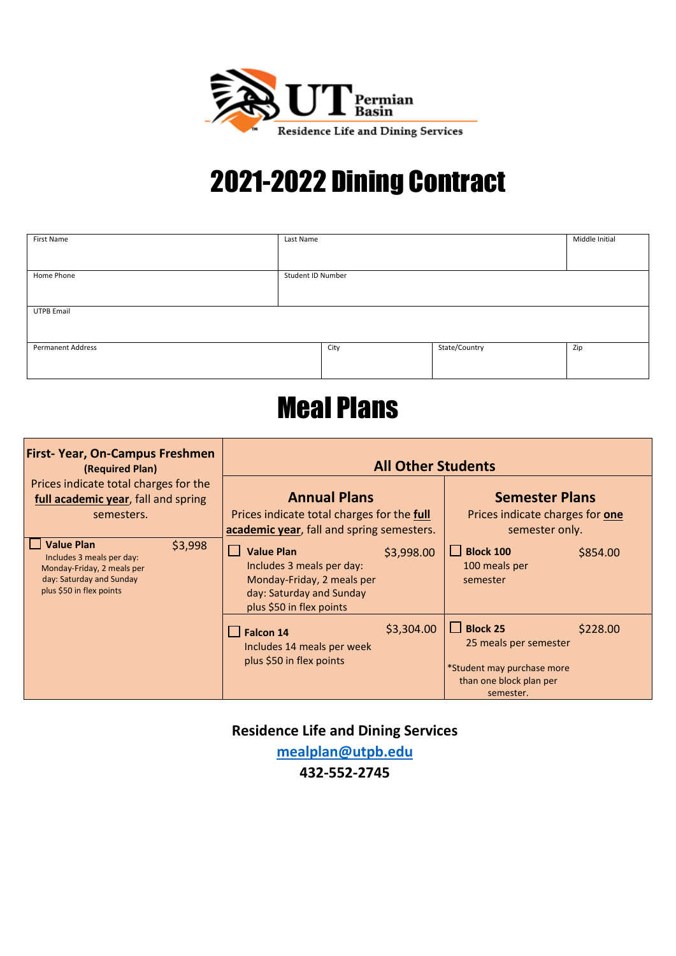

# 2021-2022 Dining Contract

| <b>First Name</b>                                                                                                                                      | Last Name                                                                                                                                 | Student ID Number                                                                                                       |          |
|--------------------------------------------------------------------------------------------------------------------------------------------------------|-------------------------------------------------------------------------------------------------------------------------------------------|-------------------------------------------------------------------------------------------------------------------------|----------|
| Home Phone                                                                                                                                             |                                                                                                                                           |                                                                                                                         |          |
| <b>UTPB Email</b>                                                                                                                                      |                                                                                                                                           |                                                                                                                         |          |
| <b>Permanent Address</b>                                                                                                                               | City                                                                                                                                      | State/Country                                                                                                           | Zip      |
| <b>Meal Plans</b>                                                                                                                                      |                                                                                                                                           |                                                                                                                         |          |
| <b>First-Year, On-Campus Freshmen</b><br>(Required Plan)<br>Prices indicate total charges for the<br>full academic year, fall and spring<br>semesters. | <b>All Other Students</b>                                                                                                                 |                                                                                                                         |          |
|                                                                                                                                                        | <b>Annual Plans</b><br>Prices indicate total charges for the full<br>academic year, fall and spring semesters.                            | <b>Semester Plans</b><br>Prices indicate charges for one<br>semester only.                                              |          |
| <b>Value Plan</b><br>\$3,998<br>Includes 3 meals per day:<br>Monday-Friday, 2 meals per<br>day: Saturday and Sunday<br>plus \$50 in flex points        | H<br><b>Value Plan</b><br>Includes 3 meals per day:<br>Monday-Friday, 2 meals per<br>day: Saturday and Sunday<br>plus \$50 in flex points | <b>Block 100</b><br>\$3,998.00<br>100 meals per<br>semester                                                             | \$854.00 |
|                                                                                                                                                        | $\vert$ Falcon 14<br>Includes 14 meals per week<br>plus \$50 in flex points                                                               | <b>Block 25</b><br>l st<br>\$3,304.00<br>25 meals per semester<br>*Student may purchase more<br>than one block plan per | \$228.00 |

**Residence Life and Dining Services**

semester.

**[mealplan@utpb.edu](mailto:mealplan@utpb.edu)**

**432-552-2745**